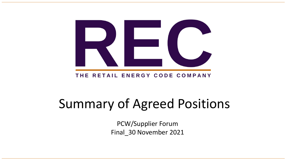

#### THE RETAIL ENERGY CODE COMPANY

# Summary of Agreed Positions

PCW/Supplier Forum Final\_30 November 2021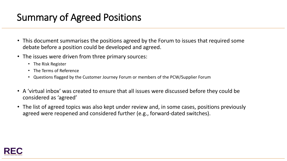## Summary of Agreed Positions

- This document summarises the positions agreed by the Forum to issues that required some debate before a position could be developed and agreed.
- The issues were driven from three primary sources:
	- The Risk Register
	- The Terms of Reference
	- Questions flagged by the Customer Journey Forum or members of the PCW/Supplier Forum
- A 'virtual inbox' was created to ensure that all issues were discussed before they could be considered as 'agreed'
- The list of agreed topics was also kept under review and, in some cases, positions previously agreed were reopened and considered further (e.g., forward-dated switches).

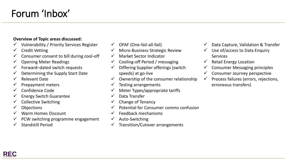## Forum 'Inbox'

#### **Overview of Topic areas discussed:**

- ✓ Vulnerability / Priority Services Register
- $\checkmark$  Credit Vetting
- $\checkmark$  Consumer consent to bill during cool-off
- $\checkmark$  Opening Meter Readings
- $\checkmark$  Forward–dated switch requests
- $\checkmark$  Determining the Supply Start Date
- ✓ Relevant Date
- ✓ Prepayment meters
- ✓ Confidence Code
- $\checkmark$  Energy Switch Guarantee
- ✓ Collective Switching
- **Objections**
- Warm Homes Discount
- PCW switching programme engagement
- Standstill Period
- ✓ OFAF (One-fail-all-fail)
- Micro-Business Strategic Review
- Market Sector Indicator
- ✓ Cooling-off Period / messaging
- Differing Supplier offerings (switch speeds) at go-live
- Ownership of the consumer relationship
- Testing arrangements
- Meter Types/appropriate tariffs
- Data Transfer
- Change of Tenancy
- ✓ Potential for Consumer comms confusion
- Feedback mechanisms
- Auto-Switching
- Transition/Cutover arrangements
- $\checkmark$  Data Capture, Validation & Transfer
- $\checkmark$  Use of/access to Data Enquiry Services
- $\checkmark$  Retail Energy Location
- $\checkmark$  Consumer Messaging principles
- Consumer Journey perspective
- ✓ Process failures (errors, rejections, erroneous transfers)

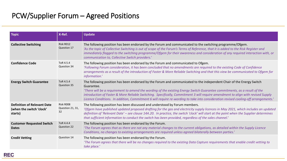| <b>Topic</b>                                                              | X-Ref.                              | <b>Update</b>                                                                                                                                                                                                                                                                                                                                                                                                                                                                                                                              |
|---------------------------------------------------------------------------|-------------------------------------|--------------------------------------------------------------------------------------------------------------------------------------------------------------------------------------------------------------------------------------------------------------------------------------------------------------------------------------------------------------------------------------------------------------------------------------------------------------------------------------------------------------------------------------------|
| <b>Collective Switching</b>                                               | Risk R012<br>Question 17            | The following position has been endorsed by the Forum and communicated to the switching programme/Ofgem.<br>'As the topic of Collective Switching is out of scope of the Forum's Terms of Reference, that it is added to the Risk Register and<br>immediately flagged to the switching programme/Ofgem for their awareness and consideration of any required interaction with, or<br>communication to, Collective Switch providers.'                                                                                                       |
| <b>Confidence Code</b>                                                    | ToR 4.5.4<br>Question 34            | The following position has been endorsed by the Forum and communicated to Ofgem.<br>'Following Forum consideration, it has been concluded that no amendments are required to the existing Code of Confidence<br>arrangements as a result of the introduction of Faster & More Reliable Switching and that this view be communicated to Ofgem for<br>information.'                                                                                                                                                                          |
| <b>Energy Switch Guarantee</b>                                            | ToR 4.5.4<br>Question 35            | The following position has been endorsed by the Forum and communicated to the independent Chair of the Energy Switch<br>Guarantee.<br>'There will be a requirement to amend the wording of the existing Energy Switch Guarantee commitments, as a result of the<br>introduction of Faster & More Reliable Switching. Specifically, Commitment 3 will require amendment to align with revised Supply<br>Licence Conditions. In addition, Commitment 6 will require re-wording to take into consideration revised cooling-off arrangements.' |
| <b>Definition of Relevant Date</b><br>(when the switch 'clock'<br>starts) | Risk R008<br>Question 21, 31,<br>32 | The following position has been discussed and understood by Forum members.<br>'Ofgem have published updated proposed drafting for the gas and electricity supply licences in May 2021, which includes an updated<br>definition of 'Relevant Date' – see clause 14A.20. In practice, the switch 'clock' will start at the point when the Supplier determines<br>that sufficient information to conduct the switch has been provided, regardless of the sales channel.'                                                                      |
| <b>Customer Requested Switch</b><br><b>Dates</b>                          | ToR 4.4.4<br>Question 22            | The following position has been endorsed by the Forum.<br>'The Forum agrees that as there are not any material changes to the current obligations, as detailed within the Supply Licence<br>Conditions, no changes to existing arrangements are required unless agreed bilaterally between parties.'                                                                                                                                                                                                                                       |
| <b>Credit Vetting</b>                                                     | Question 14                         | The following position has been endorsed by the Forum.<br>The Forum agrees that there will be no changes required to the existing Data Capture requirements that enable credit vetting to<br>take place.'                                                                                                                                                                                                                                                                                                                                  |

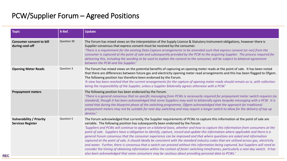| <b>Topic</b>                                                | X-Ref.      | <b>Update</b>                                                                                                                                                                                                                                                                                                                                                                                                                                                                                                                                                                                                                                                                                                                                                                                                                                                                                                                                                                                                                                                                                                                                               |
|-------------------------------------------------------------|-------------|-------------------------------------------------------------------------------------------------------------------------------------------------------------------------------------------------------------------------------------------------------------------------------------------------------------------------------------------------------------------------------------------------------------------------------------------------------------------------------------------------------------------------------------------------------------------------------------------------------------------------------------------------------------------------------------------------------------------------------------------------------------------------------------------------------------------------------------------------------------------------------------------------------------------------------------------------------------------------------------------------------------------------------------------------------------------------------------------------------------------------------------------------------------|
| <b>Consumer consent to bill</b><br>during cool-off          | Question 30 | The Forum has mixed views on the interpretation of the Supply Licence & Statutory Instrument obligations, however there is<br>Supplier consensus that express consent must be received by the consumer.<br>'There is a requirement for the existing Data Capture arrangements to be amended such that express consent (or not) from the<br>consumer is captured at the point of sale and subsequently provided by the PCW to the acquiring Supplier. The process required for<br>delivering this, including the wording to be used to explain the consent to the consumer, will be subject to bilateral agreement<br>between the PCW and the Supplier.'                                                                                                                                                                                                                                                                                                                                                                                                                                                                                                     |
| <b>Opening Meter Reads</b>                                  | Question 3  | The Forum has mixed views on the potential benefits of capturing an opening meter reads at the point of sale. It has been noted<br>that there are differences between future gas and electricity opening meter read arrangements and this has been flagged to Ofgem.<br>The following position has therefore been endorsed by the Forum.<br>'A view has been reached that the current arrangements for the capture of opening meter reads should remain as-is, with collection<br>being the responsibility of the Supplier, unless a Supplier bilaterally agrees otherwise with a PCW.'                                                                                                                                                                                                                                                                                                                                                                                                                                                                                                                                                                     |
| <b>Prepayment meters</b>                                    |             | The following position has been endorsed by the Forum.<br>'There is a general consensus that no specific messaging from PCWs is necessarily required for prepayment meter switch requests (as<br>standard), though it has been acknowledged that some Suppliers may wish to bilaterally agree bespoke messaging with a PCW. It is<br>noted that during the blueprint phase of the switching programme, Ofgem acknowledged that the approach for traditional<br>prepayment meters may not be suitable for next day switching and may require a longer switch to allow for the delivery of top up<br>devices.'                                                                                                                                                                                                                                                                                                                                                                                                                                                                                                                                                |
| <b>Vulnerability / Priority</b><br><b>Services Register</b> | Question 5  | The Forum acknowledged that currently, the Supplier requirements of PCWs to capture this information at the point of sale are<br>variable. The following position has subsequently been endorsed by the Forum.<br>'Suppliers and PCWs will continue to agree on a bilateral basis, whether and how to capture this information from consumers at the<br>point of sale. Suppliers have a obligation to identify, capture, record and update this information where applicable and there is a<br>general Forum consensus that the consumer experience can be improved and that where questions are asked and information<br>captured at the point of sale, it should ideally be consistent with the standard industry codes that are utilised across gas, electricity<br>and water. Further, there is consensus that a switch can proceed without this information being captured, but Suppliers will need to<br>consider the timing of obtaining information within the context of faster switching timeframes, particularly a next day switch. It has<br>also been acknowledged that some consumers may be cautious about providing personal data to PCWs.' |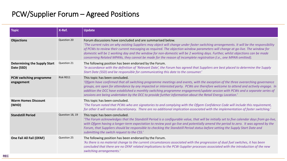| <b>Topic</b>                                      | X-Ref.          | <b>Update</b>                                                                                                                                                                                                                                                                                                                                                                                                                                                                                                                                                                               |
|---------------------------------------------------|-----------------|---------------------------------------------------------------------------------------------------------------------------------------------------------------------------------------------------------------------------------------------------------------------------------------------------------------------------------------------------------------------------------------------------------------------------------------------------------------------------------------------------------------------------------------------------------------------------------------------|
| <b>Objections</b>                                 | Question 20     | Forum discussions have concluded and are summarised below.<br>'The current rules on why existing Suppliers may object will change under faster switching arrangements. It will be the responsibility<br>of PCWs to review their current messaging as required. The objection window parameters will change at go-live. The window for<br>domestic will be 1 working day and the window for non-domestic will be 2 working days. Further, whilst objections can be made<br>concerning Related MPANs, they cannot be made for the reason of incomplete registration (i.e., one MPAN omitted). |
| <b>Determining the Supply Start</b><br>Date (SSD) | Question 21     | The following position has been endorsed by the Forum.<br>'In accordance with the definition of 'Relevant Date', the Forum has agreed that Suppliers are best placed to determine the Supply<br>Start Date (SSD) and be responsible for communicating this date to the consumer.'                                                                                                                                                                                                                                                                                                           |
| PCW switching programme<br>engagement             | Risk R011       | This topic has been concluded.<br>'Ofgem have confirmed that all switching programme meetings and events, with the exception of the three overarching governance<br>groups, are open for attendance by any impacted or interested party. PCWs are therefore welcome to attend and actively engage. In<br>addition the DCC have established a monthly switching programme engagement/update session with PCWs and a separate series of<br>sessions are being undertaken by the DCC to provide further information about the Retail Energy Location.'                                         |
| <b>Warm Homes Discount</b><br>(WHD)               |                 | This topic has been concluded.<br>'The Forum noted that PCWs who are signatories to and complying with the Ofgem Confidence Code will include this requirement,<br>for other it will remain discretionary. There are no additional implication associated with the implementation of faster switching.                                                                                                                                                                                                                                                                                      |
| <b>Standstill Period</b>                          | Question 18, 19 | This topic has been concluded.<br>'The Forum acknowledges that the Standstill Period is a configurable value, that will be initially set to five calendar days from go-live,<br>with Ofgem having a longer-term expectation to review post go-live and potentially amend the period to zero. It was agreed by the<br>Forum, that Suppliers should be responsible to checking the Standstill Period status before setting the Supply Start Date and<br>submitting the switch request to the CSS.'                                                                                            |
| One Fail All Fail (OFAF)                          | Question 25     | The following position has been endorsed by the Forum.<br>'As there is no material change to the current circumstances associated with the progression of dual fuel switches, it has been<br>concluded that there are no OFAF related implications to the PCW-Supplier processes associated with the introduction of the new<br>switching arrangements.'                                                                                                                                                                                                                                    |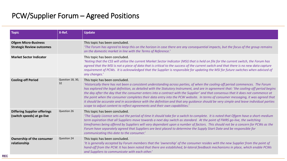| <b>Topic</b>                                                      | X-Ref.                 | <b>Update</b>                                                                                                                                                                                                                                                                                                                                                                                                                                                                                                                                                                                                                                                                                                                                                                                              |
|-------------------------------------------------------------------|------------------------|------------------------------------------------------------------------------------------------------------------------------------------------------------------------------------------------------------------------------------------------------------------------------------------------------------------------------------------------------------------------------------------------------------------------------------------------------------------------------------------------------------------------------------------------------------------------------------------------------------------------------------------------------------------------------------------------------------------------------------------------------------------------------------------------------------|
| <b>Ofgem Micro-Business</b><br><b>Strategic Review outcomes</b>   |                        | This topic has been concluded.<br>'The Forum has agreed to keep this on the horizon in case there are any consequential impacts, but the focus of the group remains<br>on the domestic market in line with the Terms of Reference.'                                                                                                                                                                                                                                                                                                                                                                                                                                                                                                                                                                        |
| <b>Market Sector Indicator</b>                                    |                        | This topic has been concluded.<br>'Noting that the CSS will utilise the current Market Sector Indicator (MSI) that is held on file for the current switch, the Forum has<br>agreed that the MSI is not a piece of data that is critical to the success of the current switch and that there is no new data capture<br>requirement of PCWs. It is acknowledged that the Supplier is responsible for updating the MSI for future switches when advised of<br>any changes.'                                                                                                                                                                                                                                                                                                                                   |
| <b>Cooling-off Period</b>                                         | Question 18, 30,<br>32 | This topic has been concluded.<br>'Historically there has not been a consistent understanding across parties, of when the cooling-off period commences. The Forum<br>has explored the legal definition, as detailed with the Statutory Instrument, and are in agreement that: 'the cooling-off period begins<br>the day after the day that the consumer enters into a contract with the Supplier' and that consensus that it does not commence at<br>the point when the consumer completes their data entry into the PCW website. In terms of consumer messaging, it was agreed that<br>it should be accurate and in accordance with the definition and that any guidance should be very simple and leave individual parties<br>scope to adjust content to reflect agreements and their own capabilities.' |
| <b>Differing Supplier offerings</b><br>(switch speeds) at go-live | Question 26            | This topic has been concluded.<br>'The Supply Licence sets out the period of time it should take for a switch to complete. It is noted that Ofgem have a short-medium<br>term aspiration that all Suppliers move towards a next day switch as standard. At the point of FMRS go-live, the switching<br>timeframes being offered by Suppliers will vary dependant upon a number of factors. This should not be a concern for PCWs as the<br>Forum have separately agreed that Suppliers are best placed to determine the Supply Start Date and be responsible for<br>communicating this date to the consumer.'                                                                                                                                                                                              |
| Ownership of the consumer<br>relationship                         | Question 24            | This topic has been concluded.<br>'It is generally accepted by Forum members that the 'ownership' of the consumer resides with the new Supplier from the point of<br>hand-off from the PCW. It has been noted that there are established, bi-lateral feedback mechanisms in place, which enable PCWs<br>and Suppliers to communicate with each other.'                                                                                                                                                                                                                                                                                                                                                                                                                                                     |